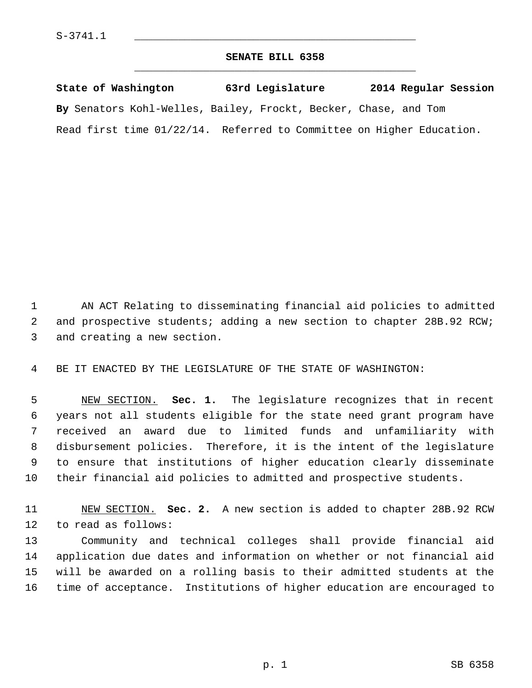## **SENATE BILL 6358** \_\_\_\_\_\_\_\_\_\_\_\_\_\_\_\_\_\_\_\_\_\_\_\_\_\_\_\_\_\_\_\_\_\_\_\_\_\_\_\_\_\_\_\_\_

**State of Washington 63rd Legislature 2014 Regular Session By** Senators Kohl-Welles, Bailey, Frockt, Becker, Chase, and Tom Read first time 01/22/14. Referred to Committee on Higher Education.

 1 AN ACT Relating to disseminating financial aid policies to admitted 2 and prospective students; adding a new section to chapter 28B.92 RCW; 3 and creating a new section.

4 BE IT ENACTED BY THE LEGISLATURE OF THE STATE OF WASHINGTON:

 5 NEW SECTION. **Sec. 1.** The legislature recognizes that in recent 6 years not all students eligible for the state need grant program have 7 received an award due to limited funds and unfamiliarity with 8 disbursement policies. Therefore, it is the intent of the legislature 9 to ensure that institutions of higher education clearly disseminate 10 their financial aid policies to admitted and prospective students.

11 NEW SECTION. **Sec. 2.** A new section is added to chapter 28B.92 RCW 12 to read as follows:

13 Community and technical colleges shall provide financial aid 14 application due dates and information on whether or not financial aid 15 will be awarded on a rolling basis to their admitted students at the 16 time of acceptance. Institutions of higher education are encouraged to